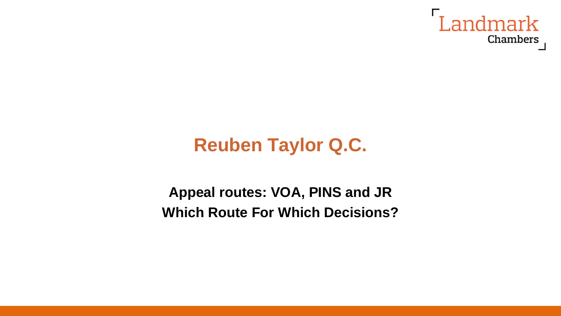

# **Reuben Taylor Q.C.**

**Appeal routes: VOA, PINS and JR Which Route For Which Decisions?**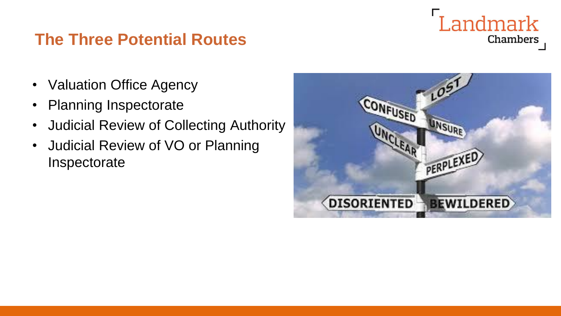#### **The Three Potential Routes**



- Valuation Office Agency
- Planning Inspectorate
- Judicial Review of Collecting Authority
- Judicial Review of VO or Planning Inspectorate

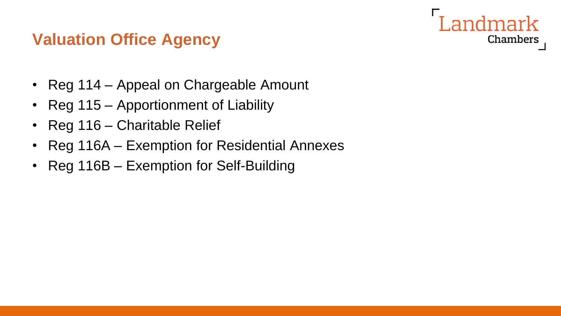

### **Valuation Office Agency**

- Reg 114 Appeal on Chargeable Amount
- Reg 115 Apportionment of Liability
- Reg 116 Charitable Relief
- Reg 116A Exemption for Residential Annexes
- Reg 116B Exemption for Self-Building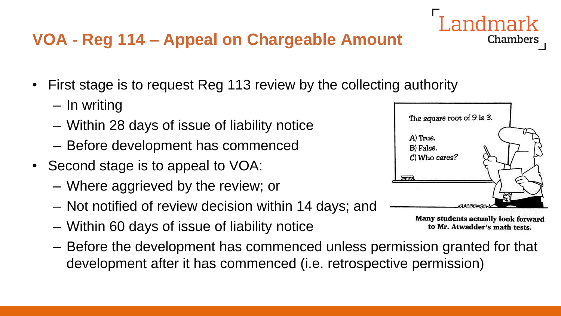# **VOA - Reg 114 – Appeal on Chargeable Amount**

- First stage is to request Reg 113 review by the collecting authority
	- In writing
	- Within 28 days of issue of liability notice
	- Before development has commenced
- Second stage is to appeal to VOA:
	- Where aggrieved by the review; or
	- Not notified of review decision within 14 days; and
	- Within 60 days of issue of liability notice
	- Before the development has commenced unless permission granted for that development after it has commenced (i.e. retrospective permission)



Many students actually look forward to Mr. Atwadder's math tests.

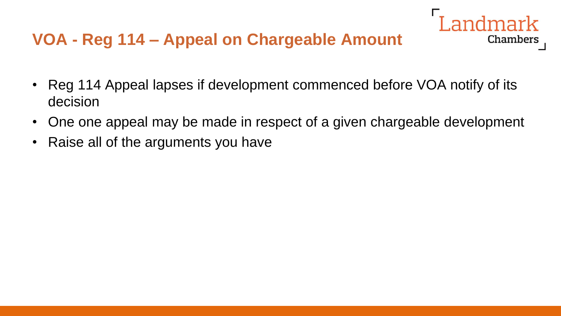• Reg 114 Appeal lapses if development commenced before VOA notify of its decision

- One one appeal may be made in respect of a given chargeable development
- Raise all of the arguments you have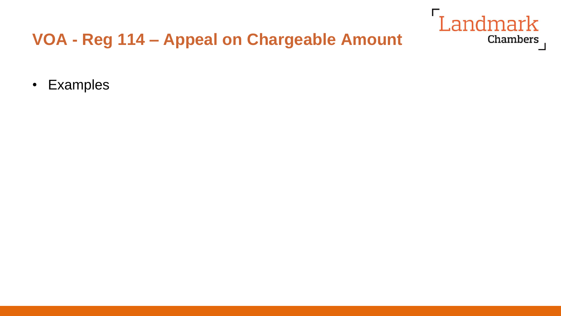

# VOA - Reg 114 - Appeal on Chargeable Amount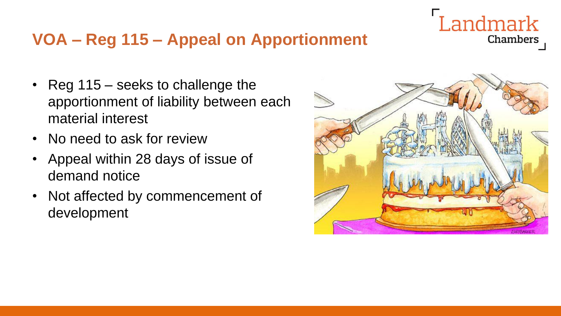# **VOA – Reg 115 – Appeal on Apportionment**

- Reg 115 seeks to challenge the apportionment of liability between each material interest
- No need to ask for review
- Appeal within 28 days of issue of demand notice
- Not affected by commencement of development



Landmark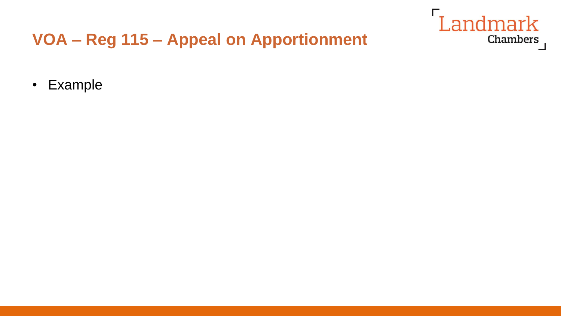# Landmark Chambers

# VOA - Reg 115 - Appeal on Apportionment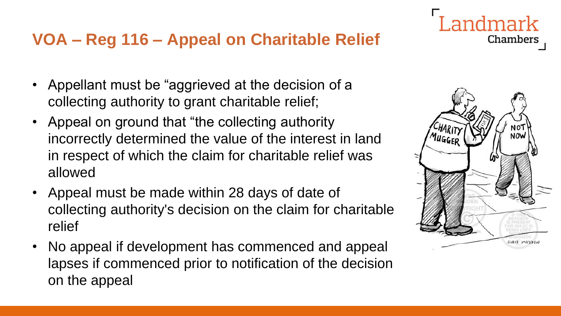### **VOA – Reg 116 – Appeal on Charitable Relief**

- Appellant must be "aggrieved at the decision of a collecting authority to grant charitable relief;
- Appeal on ground that "the collecting authority" incorrectly determined the value of the interest in land in respect of which the claim for charitable relief was allowed
- Appeal must be made within 28 days of date of collecting authority's decision on the claim for charitable relief
- No appeal if development has commenced and appeal lapses if commenced prior to notification of the decision on the appeal



Landmark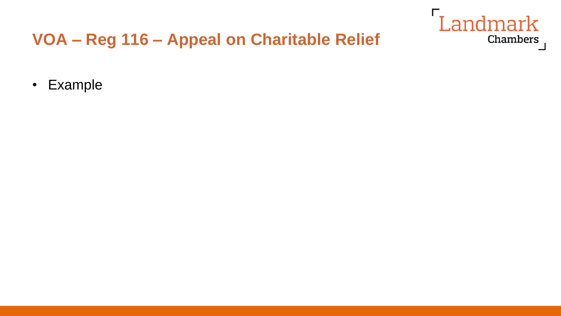# Landmark Chambers

# VOA - Reg 116 - Appeal on Charitable Relief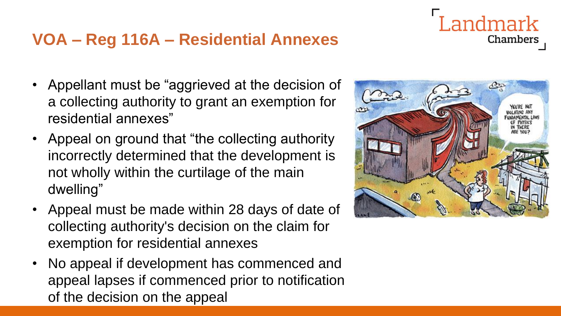### **VOA – Reg 116A – Residential Annexes**

- Appellant must be "aggrieved at the decision of a collecting authority to grant an exemption for residential annexes"
- Appeal on ground that "the collecting authority" incorrectly determined that the development is not wholly within the curtilage of the main dwelling"
- Appeal must be made within 28 days of date of collecting authority's decision on the claim for exemption for residential annexes
- No appeal if development has commenced and appeal lapses if commenced prior to notification of the decision on the appeal



Landmark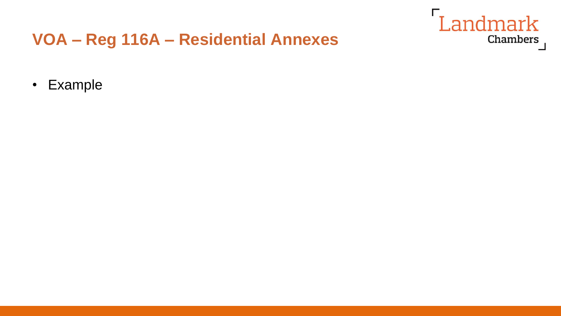

#### VOA - Reg 116A - Residential Annexes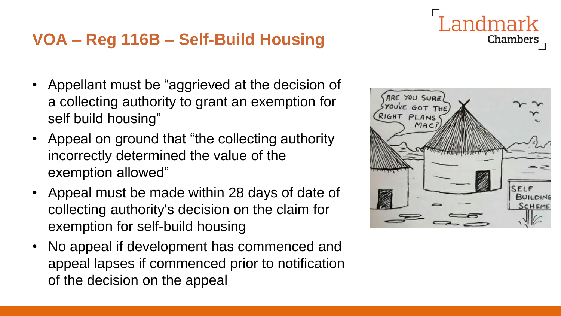### **VOA – Reg 116B – Self-Build Housing**

- Appellant must be "aggrieved at the decision of a collecting authority to grant an exemption for self build housing"
- Appeal on ground that "the collecting authority" incorrectly determined the value of the exemption allowed"
- Appeal must be made within 28 days of date of collecting authority's decision on the claim for exemption for self-build housing
- No appeal if development has commenced and appeal lapses if commenced prior to notification of the decision on the appeal



ndmark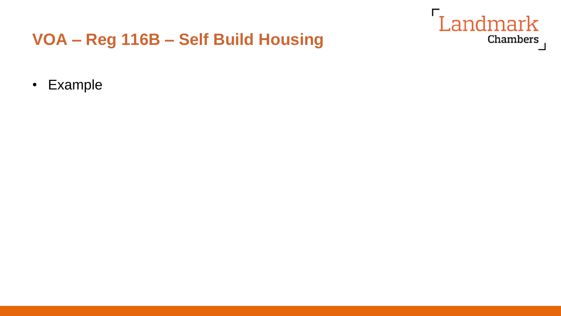

#### VOA - Reg 116B - Self Build Housing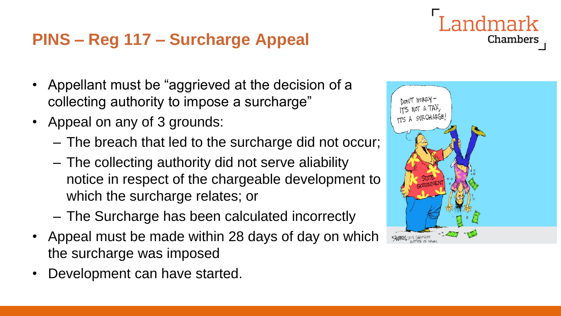# **PINS – Reg 117 – Surcharge Appeal**

- Appellant must be "aggrieved at the decision of a collecting authority to impose a surcharge"
- Appeal on any of 3 grounds:
	- The breach that led to the surcharge did not occur;
	- The collecting authority did not serve aliability notice in respect of the chargeable development to which the surcharge relates; or
	- The Surcharge has been calculated incorrectly
- Appeal must be made within 28 days of day on which the surcharge was imposed
- Development can have started.

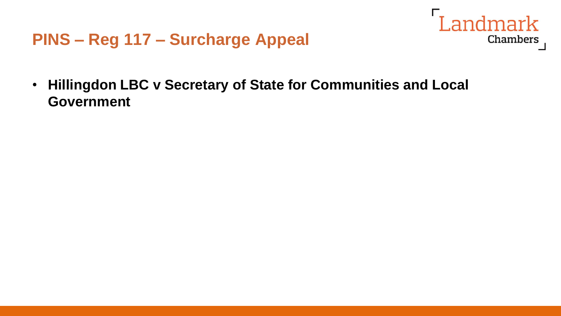

• **Hillingdon LBC v Secretary of State for Communities and Local Government**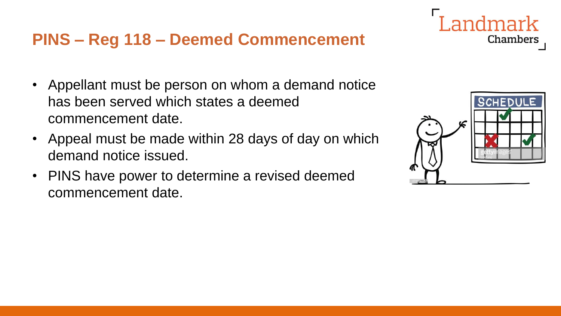# **PINS – Reg 118 – Deemed Commencement**

- Appellant must be person on whom a demand notice has been served which states a deemed commencement date.
- Appeal must be made within 28 days of day on which demand notice issued.
- PINS have power to determine a revised deemed commencement date.



andmark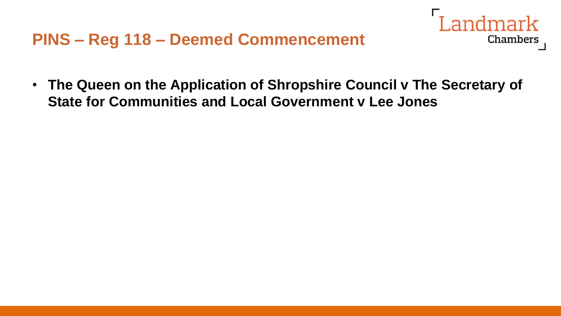

• **The Queen on the Application of Shropshire Council v The Secretary of State for Communities and Local Government v Lee Jones**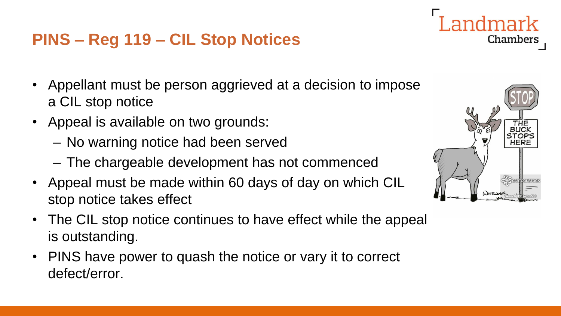# **PINS – Reg 119 – CIL Stop Notices**

- Appellant must be person aggrieved at a decision to impose a CIL stop notice
- Appeal is available on two grounds:
	- No warning notice had been served
	- The chargeable development has not commenced
- Appeal must be made within 60 days of day on which CIL stop notice takes effect
- The CIL stop notice continues to have effect while the appeal is outstanding.
- PINS have power to quash the notice or vary it to correct defect/error.

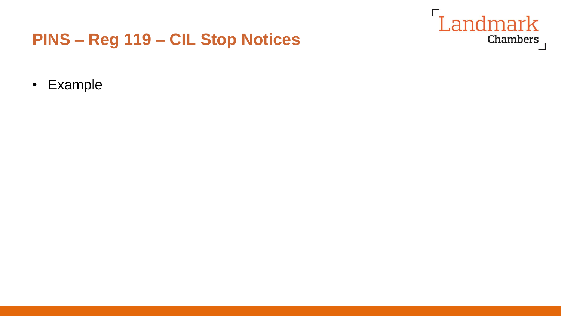

### PINS - Reg 119 - CIL Stop Notices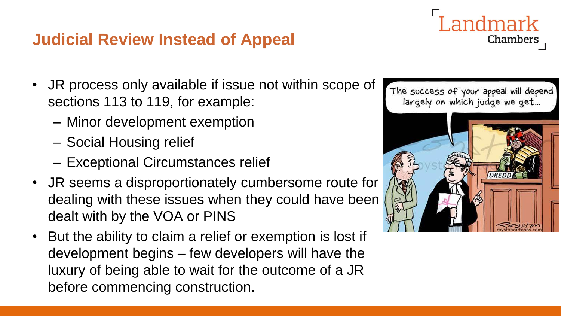# **Judicial Review Instead of Appeal**

- JR process only available if issue not within scope of sections 113 to 119, for example:
	- Minor development exemption
	- Social Housing relief
	- Exceptional Circumstances relief
- JR seems a disproportionately cumbersome route for dealing with these issues when they could have been dealt with by the VOA or PINS
- But the ability to claim a relief or exemption is lost if development begins – few developers will have the luxury of being able to wait for the outcome of a JR before commencing construction.



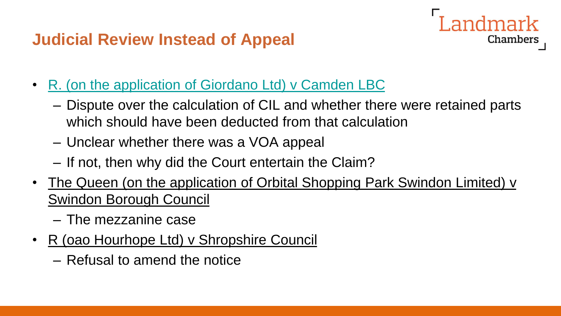# **Judicial Review Instead of Appeal**

andmark Chambers

- [R. \(on the application of Giordano Ltd\) v Camden LBC](https://uk.westlaw.com/Document/I38FF8010E52511E98322FB3B2C738732/View/FullText.html?navigationPath=Search%2Fv1%2Fresults%2Fnavigation%2Fi0ad740350000016dd4f4824ec689233d%3FNav%3DUK-CASES%26fragmentIdentifier%3DI38FF8010E52511E98322FB3B2C738732%26parentRank%3D0%26startIndex%3D1%26contextData%3D%2528sc.Search%2529%26transitionType%3DSearchItem&listSource=Search&listPageSource=fc921e54adb292c9448db3fbb5614457&list=UK-CASES&rank=1&sessionScopeId=8606ce47e784c0ce379c7f00aa5ab69b3178a92b562739e0109fe694dc5efcf9&originationContext=Search+Result&transitionType=SearchItem&contextData=%28sc.Search%29&comp=wluk)
	- Dispute over the calculation of CIL and whether there were retained parts which should have been deducted from that calculation
	- Unclear whether there was a VOA appeal
	- If not, then why did the Court entertain the Claim?
- The Queen (on the application of Orbital Shopping Park Swindon Limited) v Swindon Borough Council
	- The mezzanine case
- R (oao Hourhope Ltd) v Shropshire Council
	- Refusal to amend the notice